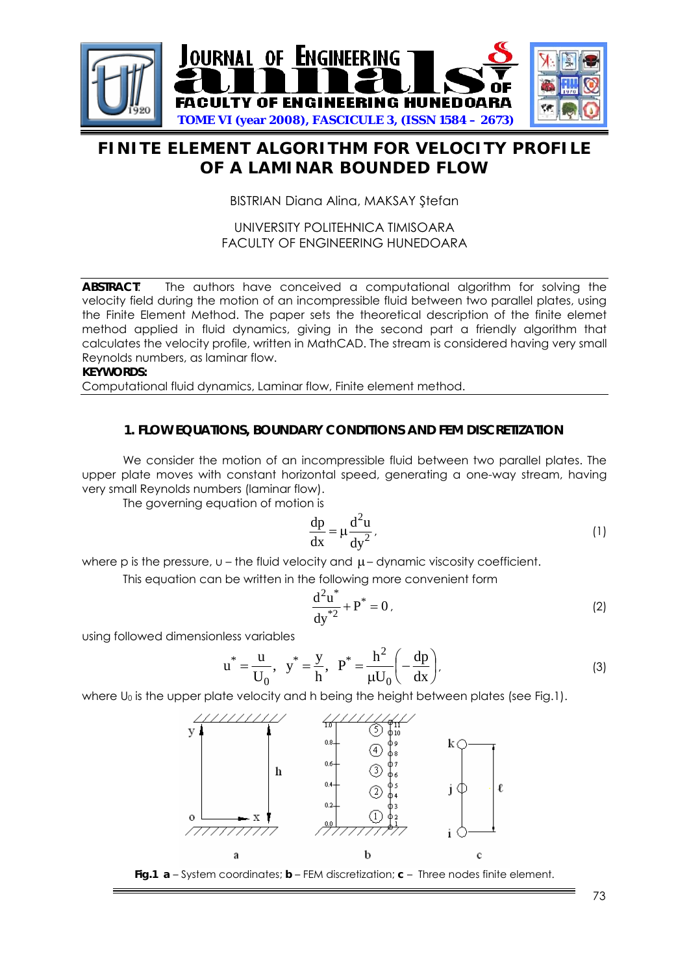

# **FINITE ELEMENT ALGORITHM FOR VELOCITY PROFILE OF A LAMINAR BOUNDED FLOW**

BISTRIAN Diana Alina, MAKSAY Ştefan

## UNIVERSITY POLITEHNICA TIMISOARA FACULTY OF ENGINEERING HUNEDOARA

**ABSTRACT**: The authors have conceived a computational algorithm for solving the velocity field during the motion of an incompressible fluid between two parallel plates, using the Finite Element Method. The paper sets the theoretical description of the finite elemet method applied in fluid dynamics, giving in the second part a friendly algorithm that calculates the velocity profile, written in MathCAD. The stream is considered having very small Reynolds numbers, as laminar flow.

**KEYWORDS:** 

Computational fluid dynamics, Laminar flow, Finite element method.

## **1. FLOW EQUATIONS, BOUNDARY CONDITIONS AND FEM DISCRETIZATION**

We consider the motion of an incompressible fluid between two parallel plates. The upper plate moves with constant horizontal speed, generating a one-way stream, having very small Reynolds numbers (laminar flow).

The governing equation of motion is

$$
\frac{dp}{dx} = \mu \frac{d^2 u}{dy^2},
$$
 (1)

where p is the pressure,  $u -$  the fluid velocity and  $\mu$  – dynamic viscosity coefficient.

This equation can be written in the following more convenient form

$$
\frac{d^2u^*}{dy^{*2}} + P^* = 0.
$$
 (2)

using followed dimensionless variables

$$
u^* = \frac{u}{U_0}, \quad y^* = \frac{y}{h}, \quad P^* = \frac{h^2}{\mu U_0} \left( -\frac{dp}{dx} \right), \tag{3}
$$

where  $U_0$  is the upper plate velocity and h being the height between plates (see Fig.1).



**Fig.1 a** – System coordinates; **b** – FEM discretization; **c** – Three nodes finite element.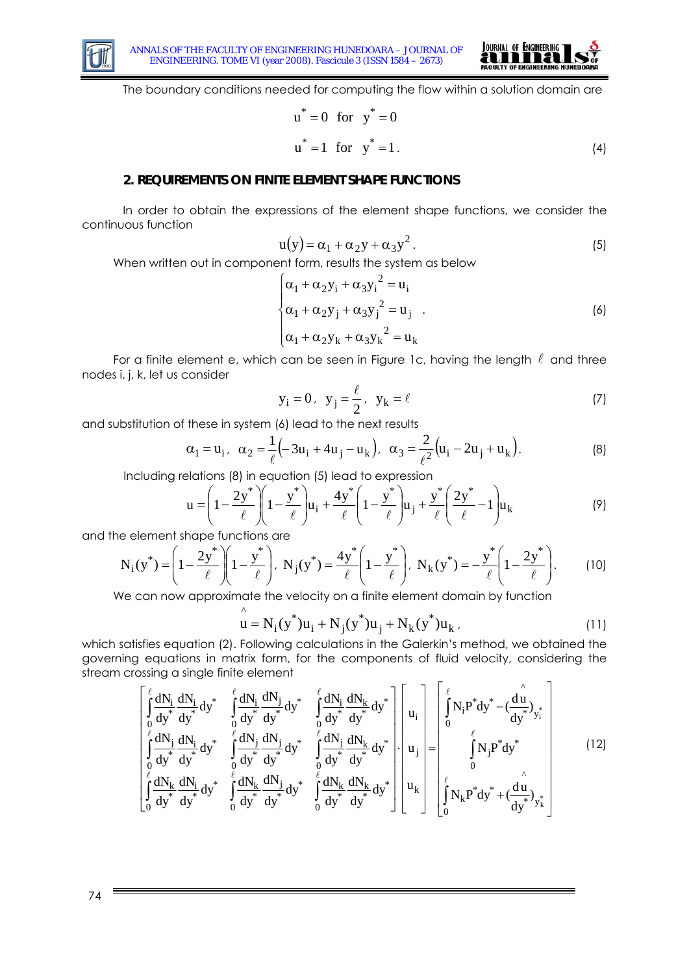



The boundary conditions needed for computing the flow within a solution domain are

$$
u^* = 0 \text{ for } y^* = 0
$$
  

$$
u^* = 1 \text{ for } y^* = 1.
$$
 (4)

### **2. REQUIREMENTS ON FINITE ELEMENT SHAPE FUNCTIONS**

In order to obtain the expressions of the element shape functions, we consider the continuous function

$$
u(y) = \alpha_1 + \alpha_2 y + \alpha_3 y^2. \tag{5}
$$

When written out in component form, results the system as below

$$
\begin{cases} \alpha_1 + \alpha_2 y_i + \alpha_3 y_i^2 = u_i \\ \alpha_1 + \alpha_2 y_j + \alpha_3 y_j^2 = u_j \\ \alpha_1 + \alpha_2 y_k + \alpha_3 y_k^2 = u_k \end{cases}
$$
 (6)

For a finite element e, which can be seen in Figure 1c, having the length  $\ell$  and three nodes i, j, k, let us consider

$$
y_i = 0, \quad y_j = \frac{\ell}{2}, \quad y_k = \ell \tag{7}
$$

and substitution of these in system (6) lead to the next results

 $\wedge$ 

$$
\alpha_1 = u_i, \ \alpha_2 = \frac{1}{\ell} \left( -3u_i + 4u_j - u_k \right), \ \alpha_3 = \frac{2}{\ell^2} \left( u_i - 2u_j + u_k \right).
$$
 (8)

Including relations (8) in equation (5) lead to expression

$$
\mathbf{u} = \left(1 - \frac{2\mathbf{y}^*}{\ell}\right)\left(1 - \frac{\mathbf{y}^*}{\ell}\right)\mathbf{u}_i + \frac{4\mathbf{y}^*}{\ell}\left(1 - \frac{\mathbf{y}^*}{\ell}\right)\mathbf{u}_j + \frac{\mathbf{y}^*}{\ell}\left(\frac{2\mathbf{y}^*}{\ell} - 1\right)\mathbf{u}_k
$$
\n(9)

and the element shape functions are

$$
N_i(y^*) = \left(1 - \frac{2y^*}{\ell}\right)\left(1 - \frac{y^*}{\ell}\right), N_j(y^*) = \frac{4y^*}{\ell}\left(1 - \frac{y^*}{\ell}\right), N_k(y^*) = -\frac{y^*}{\ell}\left(1 - \frac{2y^*}{\ell}\right).
$$
 (10)

We can now approximate the velocity on a finite element domain by function

$$
u = N_{i}(y^{*})u_{i} + N_{j}(y^{*})u_{j} + N_{k}(y^{*})u_{k}, \qquad (11)
$$

which satisfies equation (2). Following calculations in the Galerkin's method, we obtained the governing equations in matrix form, for the components of fluid velocity, considering the stream crossing a single finite element  $\overline{a}$ 

$$
\begin{bmatrix}\n\int_{0}^{\ell} \frac{dN_{i}}{dy^{*}} \frac{dN_{i}}{dy^{*}} dy^{*} & \int_{0}^{\ell} \frac{dN_{i}}{dy^{*}} \frac{dN_{j}}{dy^{*}} dy^{*} & \int_{0}^{\ell} \frac{dN_{i}}{dy^{*}} \frac{dN_{k}}{dy^{*}} dy^{*} \\
\int_{0}^{\ell} \frac{dN_{j}}{dy^{*}} \frac{dN_{i}}{dy^{*}} dy^{*} & \int_{0}^{\ell} \frac{dN_{j}}{dy^{*}} \frac{dN_{j}}{dy^{*}} dy^{*} & \int_{0}^{\ell} \frac{dN_{j}}{dy^{*}} \frac{dN_{k}}{dy^{*}} dy^{*}\n\end{bmatrix}\n\begin{bmatrix}\nu_{i} \\
u_{i} \\
u_{j} \\
u_{j} \\
u_{j} \\
u_{j}\n\end{bmatrix} = \n\begin{bmatrix}\n\int_{0}^{\ell} N_{i} P^{*} dy^{*} - (\frac{\hat{d}u}{dy^{*}})_{y_{i}^{*}} \\
\int_{0}^{\ell} N_{i} P^{*} dy^{*} - (\frac{\hat{d}u}{dy^{*}})_{y_{i}^{*}} \\
\int_{0}^{\ell} \frac{dN_{k}}{dy^{*}} \frac{dN_{k}}{dy^{*}} dy^{*} & \int_{0}^{\ell} \frac{dN_{k}}{dy^{*}} \frac{dN_{k}}{dy^{*}} dy^{*}\n\end{bmatrix} \n\begin{bmatrix}\nu_{i} \\
u_{j} \\
u_{k}\n\end{bmatrix} = \n\begin{bmatrix}\n\int_{0}^{\ell} N_{i} P^{*} dy^{*} - (\frac{\hat{d}u}{dy^{*}})_{y_{i}^{*}} \\
\int_{0}^{\ell} N_{k} P^{*} dy^{*} + (\frac{\hat{d}u}{dy^{*}})_{y_{k}}\n\end{bmatrix}
$$
\n(12)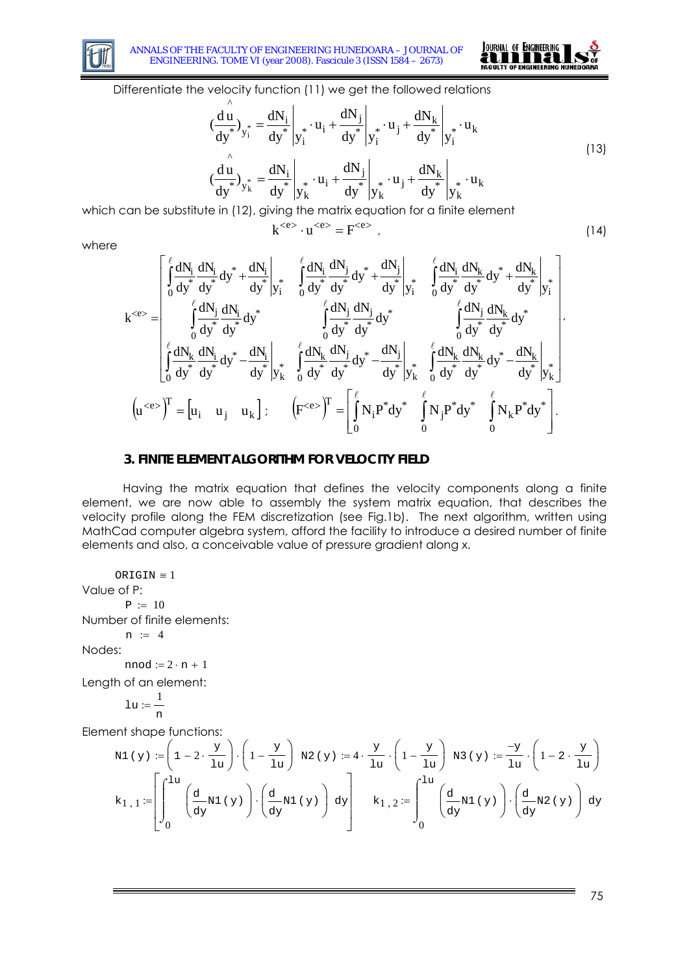

 $\Lambda$ 



Differentiate the velocity function (11) we get the followed relations

$$
\left(\frac{du}{dy^*}\right)_{y_i^*} = \frac{dN_i}{dy^*}\left|_{y_i^*} \cdot u_i + \frac{dN_j}{dy^*}\right|_{y_i^*} \cdot u_j + \frac{dN_k}{dy^*}\left|_{y_i^*} \cdot u_k\right|
$$
\n
$$
\left(\frac{du}{dy^*}\right)_{y_k^*} = \frac{dN_i}{dy^*}\left|_{y_k^*} \cdot u_i + \frac{dN_j}{dy^*}\right|_{y_k^*} \cdot u_j + \frac{dN_k}{dy^*}\left|_{y_k^*} \cdot u_k\right|
$$
\n(13)

which can be substitute in (12), giving the matrix equation for a finite element

$$
k^{} \cdot u^{} = F^{} \tag{14}
$$

where

$$
k^{}=\left[\begin{matrix} \int\limits_0^\ell\frac{dN_i}{dy} \frac{dN_i}{dy} dy^* +\frac{dN_i}{dy} \Bigg|_{y_i^*} & \int\limits_0^\ell\frac{dN_i}{dy} \frac{dN_j}{dy} dy^* +\frac{dN_j}{dy} \Bigg|_{y_i^*} & \int\limits_0^\ell\frac{dN_i}{dy} \frac{dN_k}{dy} dy^* +\frac{dN_k}{dy} \Bigg|_{y_i^*} \\ \int\limits_0^\ell\frac{dN_j}{dy} \frac{dN_j}{dy} dy^* & \int\limits_0^\ell\frac{dN_j}{dy} \frac{dN_j}{dy} dy^* & \int\limits_0^\ell\frac{dN_j}{dy} \frac{dN_k}{dy} dy^* \\ \int\limits_0^\ell\frac{dN_k}{dy} \frac{dN_i}{dy} dy^* -\frac{dN_i}{dy^*} \Bigg|_{y_k^*} & \int\limits_0^\ell\frac{dN_k}{dy} \frac{dN_j}{dy} dy^* & \int\limits_0^\ell\frac{dN_k}{dy} \frac{dN_k}{dy} dy^* \\ \int\limits_0^\ell\frac{dN_k}{dy} \frac{dN_k}{dy} dy^* -\frac{dN_k}{dy^*} \Bigg|_{y_k^*} & \int\limits_0^\ell\frac{dN_k}{dy^*} \frac{dN_k}{dy^*} \frac{dN_k}{dy^*} dy^* -\frac{dN_k}{dy^*} \Bigg|_{y_k^*} \end{matrix}\right].
$$

### **3. FINITE ELEMENT ALGORITHM FOR VELOCITY FIELD**

Having the matrix equation that defines the velocity components along a finite element, we are now able to assembly the system matrix equation, that describes the velocity profile along the FEM discretization (see Fig.1b). The next algorithm, written using MathCad computer algebra system, afford the facility to introduce a desired number of finite elements and also, a conceivable value of pressure gradient along x.

ORIGIN  $\equiv$  1 Value of P:  $P := 10$ Number of finite elements:  $n := 4$ Nodes:  $nmod := 2 \cdot n + 1$ 

Length of an element:

$$
\ln \frac{1}{n}
$$

Element shape functions:

$$
N1 (y) := \left(1 - 2 \cdot \frac{y}{1u}\right) \cdot \left(1 - \frac{y}{1u}\right) N2 (y) := 4 \cdot \frac{y}{1u} \cdot \left(1 - \frac{y}{1u}\right) N3 (y) := \frac{-y}{1u} \cdot \left(1 - 2 \cdot \frac{y}{1u}\right)
$$

$$
k_{1,1} := \left[\int_0^{1u} \left(\frac{d}{dy} N1 (y)\right) \cdot \left(\frac{d}{dy} N1 (y)\right) dy\right] \qquad k_{1,2} := \int_0^{1u} \left(\frac{d}{dy} N1 (y)\right) \cdot \left(\frac{d}{dy} N2 (y)\right) dy
$$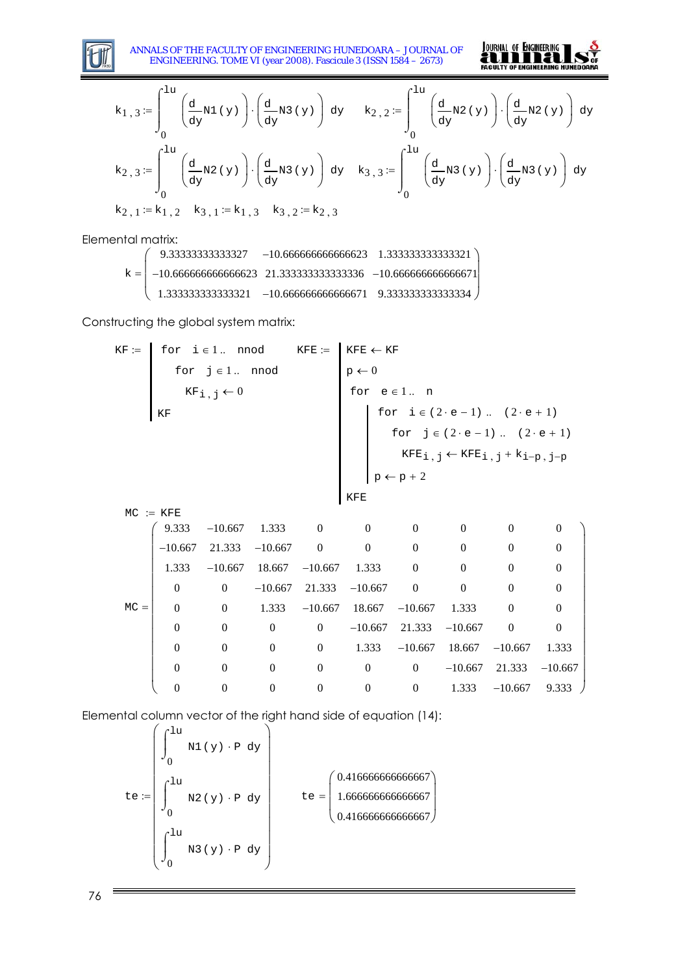

ANNALS OF THE FACULTY OF ENGINEERING HUNEDOARA – JOURNAL OF ENGINEERING. TOME VI (year 2008). Fascicule 3 (ISSN 1584 – 2673)



$$
k_{1,3} := \int_{0}^{1u} \left(\frac{d}{dy} N1(y)\right) \cdot \left(\frac{d}{dy} N3(y)\right) dy \quad k_{2,2} := \int_{0}^{1u} \left(\frac{d}{dy} N2(y)\right) \cdot \left(\frac{d}{dy} N2(y)\right) dy
$$
  
\n
$$
k_{2,3} := \int_{0}^{1u} \left(\frac{d}{dy} N2(y)\right) \cdot \left(\frac{d}{dy} N3(y)\right) dy \quad k_{3,3} := \int_{0}^{1u} \left(\frac{d}{dy} N3(y)\right) \cdot \left(\frac{d}{dy} N3(y)\right) dy
$$
  
\n
$$
k_{2,1} := k_{1,2} \quad k_{3,1} := k_{1,3} \quad k_{3,2} := k_{2,3}
$$

Elemental matrix:

|                                                                    | $9.33333333333327 -10.66666666666623 1.33333333333321$ |  |
|--------------------------------------------------------------------|--------------------------------------------------------|--|
| $k =$ -10.6666666666666623 21.3333333333333336 -10.666666666666671 |                                                        |  |
| $($ 1.3333333333333321 -10.666666666666671 9.333333333333334 /     |                                                        |  |

Constructing the global system matrix:

$$
KF := \n\begin{bmatrix}\n\text{for } i \in 1.. \mod & KFE := \n\begin{bmatrix}\n\text{for } j \in 1.. \mod & KFE = \n\end{bmatrix} \\
\text{KFE} & \text{for } j \in \{0, 1, 2, 3, 4\}\n\end{bmatrix} \\
\text{KFE} & \text{for } j \in \{2 \cdot e - 1\}.. (2 \cdot e + 1) \\
\text{for } j \in \{2 \cdot e - 1\}.. (2 \cdot e + 1) \\
\text{for } j \in \{2 \cdot e - 1\}.. (2 \cdot e + 1) \\
\text{KFE}_{i, j} \leftarrow KFE_{i, j} + K_{i-p, j-p}\n\end{bmatrix} \\
\text{MCE} = \n\begin{bmatrix}\n9.333 & -10.667 & 1.333 & 0 & 0 & 0 & 0 & 0 \\
-10.667 & 21.333 & -10.667 & 0 & 0 & 0 & 0 & 0 \\
1.333 & -10.667 & 18.667 & -10.667 & 1.333 & 0 & 0 & 0 & 0 \\
0 & 0 & -10.667 & 21.333 & -10.667 & 1.333 & 0 & 0 & 0 & 0 \\
0 & 0 & 1.333 & -10.667 & 18.667 & -10.667 & 1.333 & 0 & 0 \\
0 & 0 & 0 & 0 & -10.667 & 21.333 & -10.667 & 1.333 & 0 & 0 \\
0 & 0 & 0 & 0 & 0 & 0 & -10.667 & 1.333 & -10.667 & 1.333 & -10.667 \\
0 & 0 & 0 & 0 & 0 & 0 & 0 & -10.667 & 1.333 & -10.667 &
$$

Elemental column vector of the right hand side of equation (14):

$$
te := \begin{pmatrix} \int_{0}^{1u} M1(y) \cdot P \ dy \\ 0 \\ \int_{0}^{1u} M2(y) \cdot P \ dy \\ 0 \end{pmatrix} \qquad te = \begin{pmatrix} 0.41666666666666667 \\ 1.666666666666667 \\ 0.416666666666667 \end{pmatrix}
$$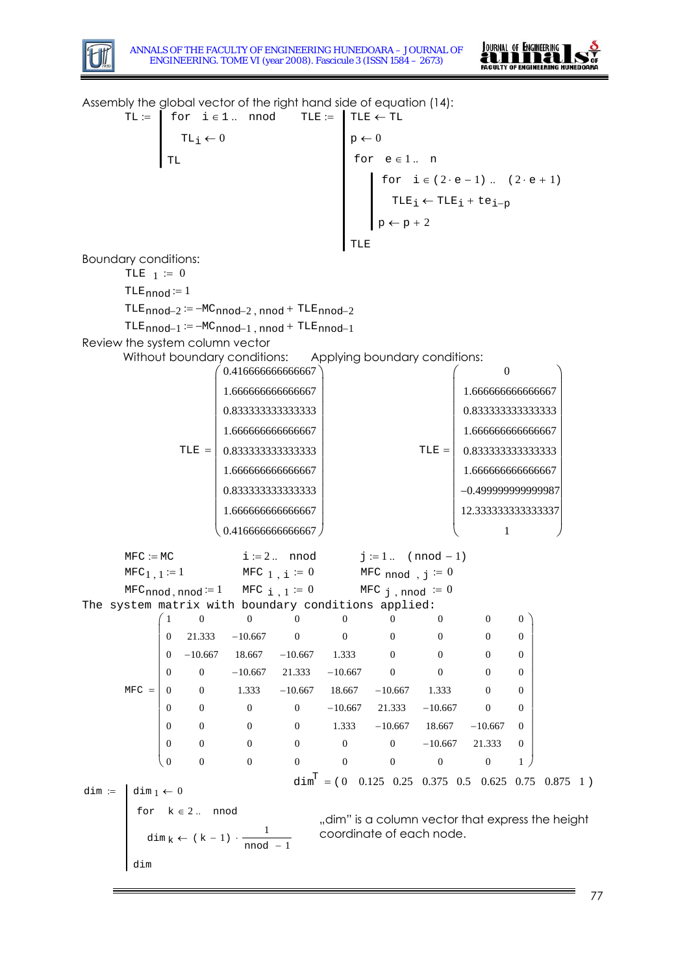



Assembly the global vector of the right hand side of equation (14):  $TL :=$  $TL_i \leftarrow 0$  $f:=$  for i $\in 1$ .. nnod TLE := TLE  $\leftarrow$  TL TL  $p \leftarrow 0$  $\texttt{TLE}_i ← \texttt{TLE}_i + \texttt{te}_{i-p}$ for  $i \in (2 \cdot e - 1)$  ..  $(2 \cdot e + 1)$  $p \leftarrow p + 2$ for  $e \in 1$  ... n TLE Boundary conditions: TLE  $1 := 0$  $TLE_{nnod} := 1$  $TLE_{nnod-2} := -MC_{nnod-2}$ , nnod +  $TLE_{nnod-2}$  $TLE_{nnod-1} := -MC_{nnod-1}$ , nnod +  $TLE_{nnod-1}$ Review the system column vector Without boundary conditions: Applying boundary conditions:  $TLE = | 0.8333333333333333 |$  $(0.41666666666667)$ 1.666666666666667 0.833333333333333 1.666666666666667 1.666666666666667 0.833333333333333 1.666666666666667  $\bigg( 0.4166666666666667$  $\mathsf I$  $\mathsf I$  $\mathsf I$  $\mathsf I$  $\mathsf I$  $\mathsf I$  $\mathsf I$  $\mathsf I$ ⎜ ⎝  $\setminus$ ⎟ ⎟ ⎟ ⎟ ⎟ ⎟ ⎟ ⎟ ⎟ ⎟ ⎠  $TLE = | 0.83333333333333333 |$  $\Omega$ 1.666666666666667 0.833333333333333 1.666666666666667 1.666666666666667 −0.499999999999987 12.333333333333337 ⎟ 1  $\big($  $\mathsf I$  $\overline{a}$  $\overline{a}$  $\overline{a}$  $\overline{a}$  $\overline{a}$  $\overline{a}$  $\overline{a}$ ⎜  $\mathsf I$ ⎝  $\setminus$  $\overline{\phantom{a}}$ ⎟  $\overline{\phantom{a}}$ ⎟ ⎟ ⎟  $^7$ ⎟ ⎠  $MFC := MC$   $i := 2$ .. nnod  $j := 1$ .. (nnod - 1)  $MFC_1$ ,  $1 := 1$ MFC  $1$ ,  $i \equiv 0$ MFC nnod,  $j \equiv 0$  $\texttt{MFC}_{\texttt{nnod}, \texttt{nnod}} \coloneqq 1 \quad \texttt{MFC}_{\texttt{i}, 1} \coloneqq 0$ MFC  $j$ , nnod  $\coloneq 0$ The system matrix with boundary conditions applied:  $MFC =$  $\left( \begin{array}{c} 1 \end{array} \right)$  $\Omega$ 0 0  $\begin{array}{|c} 0 \\ \hline \end{array}$ 0 0 0  $\begin{pmatrix} 0 \end{pmatrix}$ 0 21.333 −10.667 −10.667 18.667 −10.667 1.333 0 0  $\overline{0}$  $\overline{0}$ 0  $\Omega$  $\Omega$ −10.667 21.333 −10.667 1.333 −10.667 18.667 −10.667 1.333 0 0 0 0 0 0 0 0 0 0 0 0 −10.667 21.333 −10.667 1.333 −10.667 18.667 −10.667 0 0 0  $\theta$ 0 0 0 0 0  $\Omega$ 0 0 0 −10.667 0  $\Omega$ 0 0 0 0 0 21.333  $\overline{0}$  $\begin{matrix} 0 \end{matrix}$  $\Omega$  $\theta$  $\Omega$ 0  $\Omega$ 0 1 ⎜  $\lfloor$  $\mathsf I$  $\mathsf I$  $\lfloor$  $\mathsf I$  $\lfloor$  $\mathsf I$  $\mathsf I$ ⎝  $\overline{\phantom{a}}$  $\overline{\phantom{a}}$  $\overline{\phantom{a}}$  $\overline{\phantom{a}}$  $\overline{\phantom{a}}$  $\overline{\phantom{a}}$  $\overline{\phantom{a}}$  $\overline{\phantom{a}}$  $\overline{\phantom{a}}$  $\overline{\phantom{a}}$  $\overline{\phantom{a}}$ ⎠ dim  $:=$  dim  $_1 \leftarrow 0$ dim  $k \leftarrow (k - 1) \cdot \frac{1}{\text{mod}}$  $\leftarrow$  (k – 1) ·  $\frac{1}{\text{mod } -1}$ for  $k \in 2$  ... nnod dim  $\dim^T = (0 \quad 0.125 \quad 0.25 \quad 0.375 \quad 0.5 \quad 0.625 \quad 0.75 \quad 0.875 \quad 1)$ "dim" is a column vector that express the height coordinate of each node.